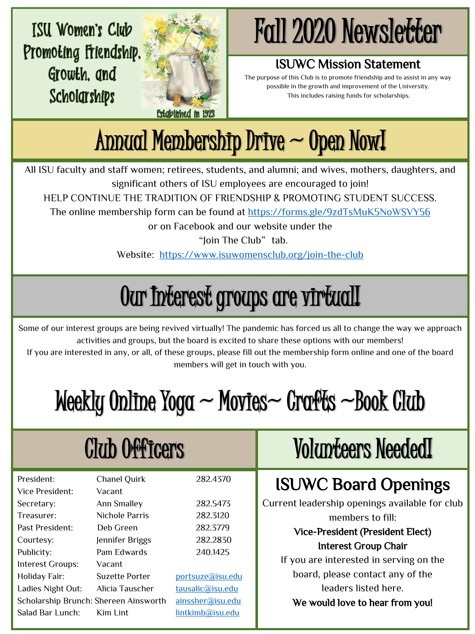**ISU Women's Club** Promoting friendship. Growth, and Scholarships



# Fall 2020 Newsletter

#### ISUWC Mission Statement

The purpose of this Club is to promote friendship and to assist in any way possible in the growth and improvement of the University. This includes raising funds for scholarships.

Annual Membership Drive ~ Open Now!

All ISU faculty and staff women; retirees, students, and alumni; and wives, mothers, daughters, and significant others of ISU employees are encouraged to join!

HELP CONTINUE THE TRADITION OF FRIENDSHIP & PROMOTING STUDENT SUCCESS.

The online membership form can be found at<https://forms.gle/9zdTsMuK5NoWSVY56>

or on Facebook and our website under the

"Ioin The Club" tab.

Website: <https://www.isuwomensclub.org/join-the-club>

# Our Interest groups are virtual!

Some of our interest groups are being revived virtually! The pandemic has forced us all to change the way we approach activities and groups, but the board is excited to share these options with our members!

If you are interested in any, or all, of these groups, please fill out the membership form online and one of the board members will get in touch with you.

# $M$ eekly Online Yoga  $\sim$  Movies $\sim$  Crafts  $\sim$  Book Club

| <b>Club Officers</b>                  |                               |                  | <b>Volumteers Needed!</b>                      |
|---------------------------------------|-------------------------------|------------------|------------------------------------------------|
| President:<br>Vice President:         | <b>Chanel Quirk</b><br>Vacant | 282.4370         | <b>ISUWC Board Openings</b>                    |
| Secretary:                            | <b>Ann Smalley</b>            | 282.5473         | Current leadership openings available for club |
| Treasurer:                            | Nichole Parris                | 282.3120         | members to fill:                               |
| Past President:                       | Deb Green                     | 282.3779         | Vice-President (President Elect)               |
| Courtesy:                             | Jennifer Briggs               | 282.2830         | <b>Interest Group Chair</b>                    |
| Publicity:                            | Pam Edwards                   | 240.1425         |                                                |
| Interest Groups:                      | Vacant                        |                  | If you are interested in serving on the        |
| <b>Holiday Fair:</b>                  | <b>Suzette Porter</b>         | portsuze@isu.edu | board, please contact any of the               |
| Ladies Night Out:                     | Alicia Tauscher               | tausalic@isu.edu | leaders listed here.                           |
| Scholarship Brunch: Shereen Ainsworth |                               | ainssher@isu.edu | We would love to hear from you!                |
| Salad Bar Lunch:                      | Kim Lint                      | lintkimb@isu.edu |                                                |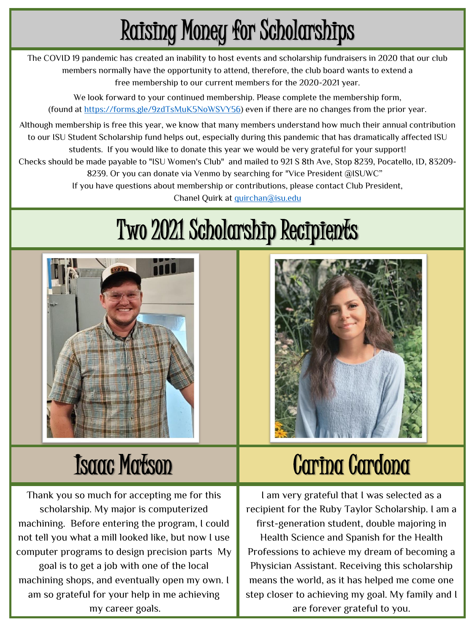# Raising Money for Scholarships

The COVID 19 pandemic has created an inability to host events and scholarship fundraisers in 2020 that our club members normally have the opportunity to attend, therefore, the club board wants to extend a free membership to our current members for the 2020-2021 year.

We look forward to your continued membership. Please complete the membership form, (found at<https://forms.gle/9zdTsMuK5NoWSVY56>) even if there are no changes from the prior year.

Although membership is free this year, we know that many members understand how much their annual contribution to our ISU Student Scholarship fund helps out, especially during this pandemic that has dramatically affected ISU students. If you would like to donate this year we would be very grateful for your support! Checks should be made payable to "ISU Women's Club" and mailed to 921 S 8th Ave, Stop 8239, Pocatello, ID, 83209- 8239. Or you can donate via Venmo by searching for "Vice President @ISUWC" If you have questions about membership or contributions, please contact Club President,

Chanel Quirk at [quirchan@isu.edu](mailto:quirchan@isu.edu)

# Two 2021 Scholarship Recipients



### Isaac Matson

Thank you so much for accepting me for this scholarship. My major is computerized machining. Before entering the program, I could not tell you what a mill looked like, but now I use computer programs to design precision parts My goal is to get a job with one of the local machining shops, and eventually open my own. I am so grateful for your help in me achieving my career goals.

# Carina Cardona

I am very grateful that I was selected as a recipient for the Ruby Taylor Scholarship. I am a first-generation student, double majoring in Health Science and Spanish for the Health Professions to achieve my dream of becoming a Physician Assistant. Receiving this scholarship means the world, as it has helped me come one step closer to achieving my goal. My family and I are forever grateful to you.